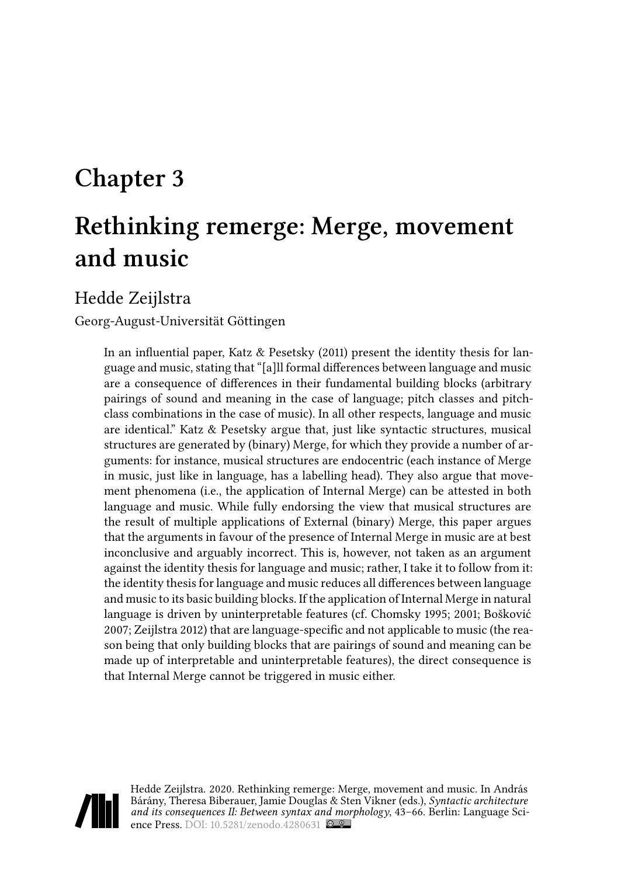# **Chapter 3**

# **Rethinking remerge: Merge, movement and music**

Hedde Zeijlstra

Georg-August-Universität Göttingen

In an influential paper, [Katz & Pesetsky \(2011\)](#page-22-0) present the identity thesis for language and music, stating that "[a]ll formal differences between language and music are a consequence of differences in their fundamental building blocks (arbitrary pairings of sound and meaning in the case of language; pitch classes and pitchclass combinations in the case of music). In all other respects, language and music are identical." [Katz & Pesetsky](#page-22-0) argue that, just like syntactic structures, musical structures are generated by (binary) Merge, for which they provide a number of arguments: for instance, musical structures are endocentric (each instance of Merge in music, just like in language, has a labelling head). They also argue that movement phenomena (i.e., the application of Internal Merge) can be attested in both language and music. While fully endorsing the view that musical structures are the result of multiple applications of External (binary) Merge, this paper argues that the arguments in favour of the presence of Internal Merge in music are at best inconclusive and arguably incorrect. This is, however, not taken as an argument against the identity thesis for language and music; rather, I take it to follow from it: the identity thesis for language and music reduces all differences between language and music to its basic building blocks. If the application of Internal Merge in natural language is driven by uninterpretable features (cf. [Chomsky 1995](#page-21-0); [2001;](#page-21-1) [Bošković](#page-20-0) [2007;](#page-20-0) [Zeijlstra 2012\)](#page-23-0) that are language-specific and not applicable to music (the reason being that only building blocks that are pairings of sound and meaning can be made up of interpretable and uninterpretable features), the direct consequence is that Internal Merge cannot be triggered in music either.



Hedde Zeijlstra. 2020. Rethinking remerge: Merge, movement and music. In András Bárány, Theresa Biberauer, Jamie Douglas & Sten Vikner (eds.), *Syntactic architecture and its consequences II: Between syntax and morphology*, 43–66. Berlin: Language Sci-ence Press. DOI: [10.5281/zenodo.4280631](https://doi.org/10.5281/zenodo.4280631)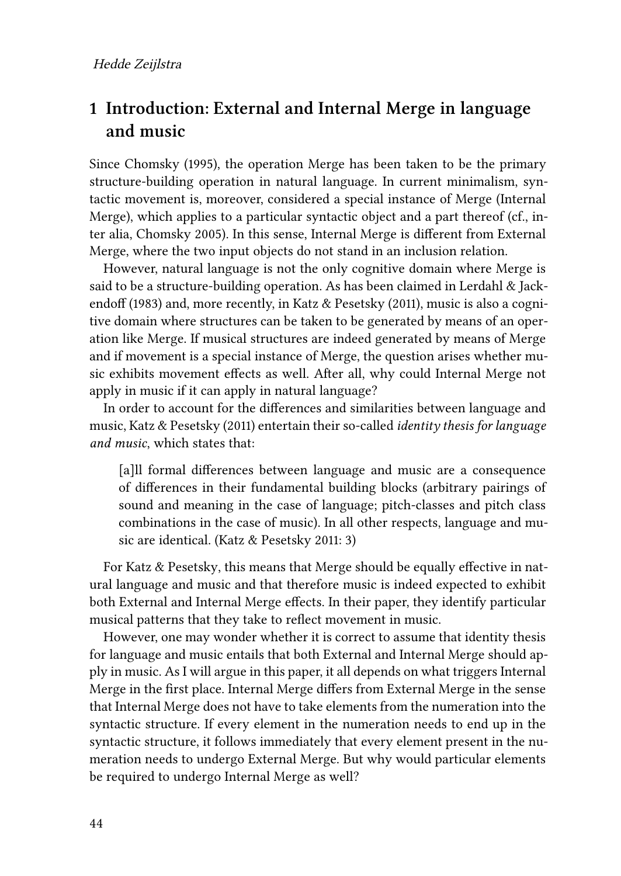# <span id="page-1-0"></span>**1 Introduction: External and Internal Merge in language and music**

Since [Chomsky \(1995\),](#page-21-0) the operation Merge has been taken to be the primary structure-building operation in natural language. In current minimalism, syntactic movement is, moreover, considered a special instance of Merge (Internal Merge), which applies to a particular syntactic object and a part thereof (cf., inter alia, [Chomsky 2005](#page-21-2)). In this sense, Internal Merge is different from External Merge, where the two input objects do not stand in an inclusion relation.

However, natural language is not the only cognitive domain where Merge is said to be a structure-building operation. As has been claimed in [Lerdahl & Jack](#page-22-1)[endoff \(1983\)](#page-22-1) and, more recently, in [Katz & Pesetsky \(2011\)](#page-22-0), music is also a cognitive domain where structures can be taken to be generated by means of an operation like Merge. If musical structures are indeed generated by means of Merge and if movement is a special instance of Merge, the question arises whether music exhibits movement effects as well. After all, why could Internal Merge not apply in music if it can apply in natural language?

In order to account for the differences and similarities between language and music, [Katz & Pesetsky \(2011\)](#page-22-0) entertain their so-called *identity thesis for language and music*, which states that:

[a]ll formal differences between language and music are a consequence of differences in their fundamental building blocks (arbitrary pairings of sound and meaning in the case of language; pitch-classes and pitch class combinations in the case of music). In all other respects, language and music are identical.([Katz & Pesetsky 2011:](#page-22-0) 3)

For [Katz & Pesetsky](#page-22-0), this means that Merge should be equally effective in natural language and music and that therefore music is indeed expected to exhibit both External and Internal Merge effects. In their paper, they identify particular musical patterns that they take to reflect movement in music.

However, one may wonder whether it is correct to assume that identity thesis for language and music entails that both External and Internal Merge should apply in music. As I will argue in this paper, it all depends on what triggers Internal Merge in the first place. Internal Merge differs from External Merge in the sense that Internal Merge does not have to take elements from the numeration into the syntactic structure. If every element in the numeration needs to end up in the syntactic structure, it follows immediately that every element present in the numeration needs to undergo External Merge. But why would particular elements be required to undergo Internal Merge as well?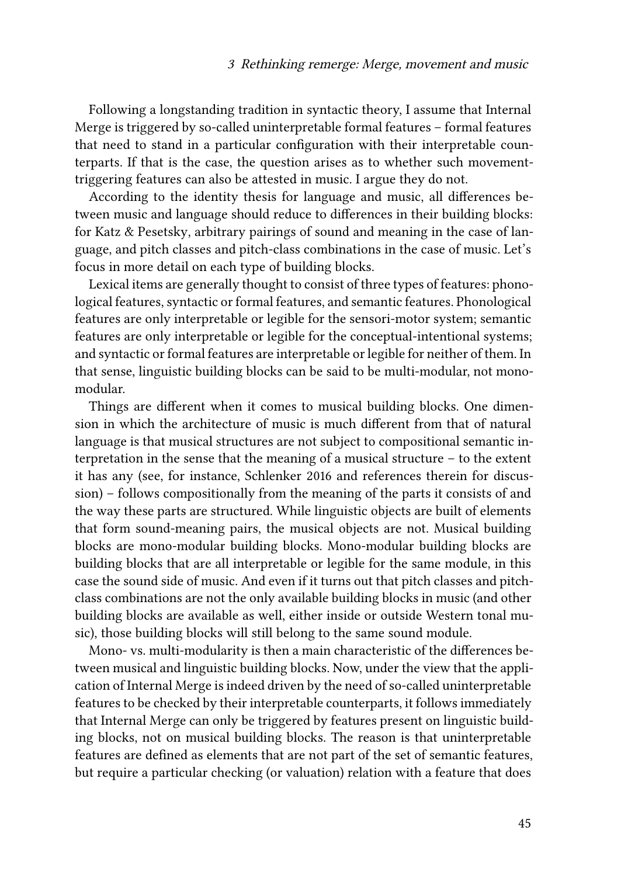Following a longstanding tradition in syntactic theory, I assume that Internal Merge is triggered by so-called uninterpretable formal features – formal features that need to stand in a particular configuration with their interpretable counterparts. If that is the case, the question arises as to whether such movementtriggering features can also be attested in music. I argue they do not.

According to the identity thesis for language and music, all differences between music and language should reduce to differences in their building blocks: for [Katz & Pesetsky,](#page-22-0) arbitrary pairings of sound and meaning in the case of language, and pitch classes and pitch-class combinations in the case of music. Let's focus in more detail on each type of building blocks.

Lexical items are generally thought to consist of three types of features: phonological features, syntactic or formal features, and semantic features. Phonological features are only interpretable or legible for the sensori-motor system; semantic features are only interpretable or legible for the conceptual-intentional systems; and syntactic or formal features are interpretable or legible for neither of them. In that sense, linguistic building blocks can be said to be multi-modular, not monomodular.

Things are different when it comes to musical building blocks. One dimension in which the architecture of music is much different from that of natural language is that musical structures are not subject to compositional semantic interpretation in the sense that the meaning of a musical structure – to the extent it has any (see, for instance, [Schlenker 2016](#page-23-1) and references therein for discussion) – follows compositionally from the meaning of the parts it consists of and the way these parts are structured. While linguistic objects are built of elements that form sound-meaning pairs, the musical objects are not. Musical building blocks are mono-modular building blocks. Mono-modular building blocks are building blocks that are all interpretable or legible for the same module, in this case the sound side of music. And even if it turns out that pitch classes and pitchclass combinations are not the only available building blocks in music (and other building blocks are available as well, either inside or outside Western tonal music), those building blocks will still belong to the same sound module.

Mono- vs. multi-modularity is then a main characteristic of the differences between musical and linguistic building blocks. Now, under the view that the application of Internal Merge is indeed driven by the need of so-called uninterpretable features to be checked by their interpretable counterparts, it follows immediately that Internal Merge can only be triggered by features present on linguistic building blocks, not on musical building blocks. The reason is that uninterpretable features are defined as elements that are not part of the set of semantic features, but require a particular checking (or valuation) relation with a feature that does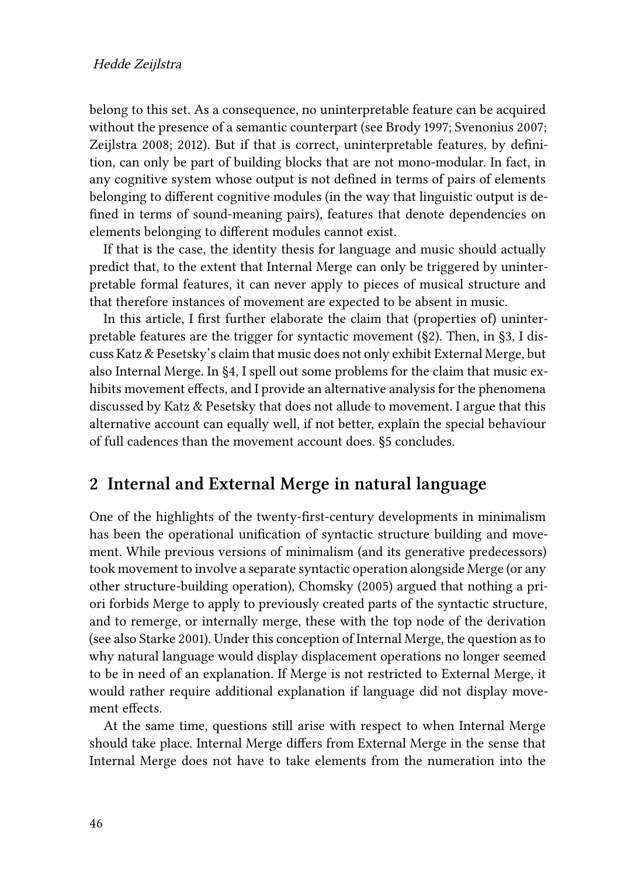belong to this set. As a consequence, no uninterpretable feature can be acquired without the presence of a semantic counterpart (see [Brody 1997](#page-20-1); [Svenonius 2007;](#page-23-2) [Zeijlstra 2008](#page-23-3); [2012\)](#page-23-0). But if that is correct, uninterpretable features, by definition, can only be part of building blocks that are not mono-modular. In fact, in any cognitive system whose output is not defined in terms of pairs of elements belonging to different cognitive modules (in the way that linguistic output is defined in terms of sound-meaning pairs), features that denote dependencies on elements belonging to different modules cannot exist.

If that is the case, the identity thesis for language and music should actually predict that, to the extent that Internal Merge can only be triggered by uninterpretable formal features, it can never apply to pieces of musical structure and that therefore instances of movement are expected to be absent in music.

In this article, I first further elaborate the claim that (properties of) uninterpretable features are the trigger for syntactic movement (§[2\)](#page-3-0). Then, in [§3](#page-6-0), I discuss Katz & Pesetsky's claim that music does not only exhibit External Merge, but also Internal Merge. In §[4,](#page-14-0) I spell out some problems for the claim that music exhibits movement effects, and I provide an alternative analysis for the phenomena discussed by [Katz & Pesetsky](#page-22-0) that does not allude to movement. I argue that this alternative account can equally well, if not better, explain the special behaviour of full cadences than the movement account does. [§5](#page-18-0) concludes.

## <span id="page-3-0"></span>**2 Internal and External Merge in natural language**

One of the highlights of the twenty-first-century developments in minimalism has been the operational unification of syntactic structure building and movement. While previous versions of minimalism (and its generative predecessors) took movement to involve a separate syntactic operation alongside Merge (or any other structure-building operation), [Chomsky \(2005\)](#page-21-2) argued that nothing a priori forbids Merge to apply to previously created parts of the syntactic structure, and to remerge, or internally merge, these with the top node of the derivation (see also [Starke 2001](#page-23-4)). Under this conception of Internal Merge, the question as to why natural language would display displacement operations no longer seemed to be in need of an explanation. If Merge is not restricted to External Merge, it would rather require additional explanation if language did not display movement effects.

At the same time, questions still arise with respect to when Internal Merge should take place. Internal Merge differs from External Merge in the sense that Internal Merge does not have to take elements from the numeration into the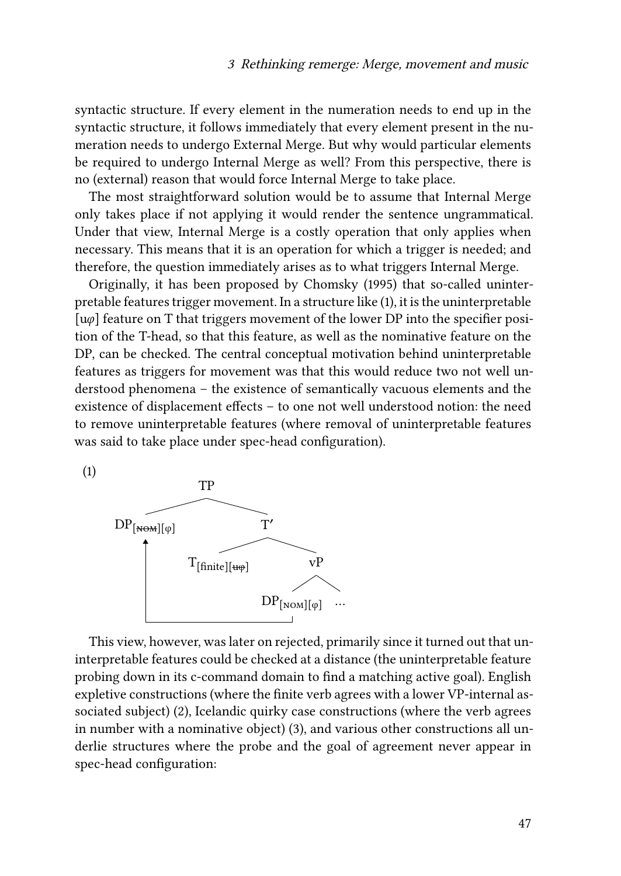syntactic structure. If every element in the numeration needs to end up in the syntactic structure, it follows immediately that every element present in the numeration needs to undergo External Merge. But why would particular elements be required to undergo Internal Merge as well? From this perspective, there is no (external) reason that would force Internal Merge to take place.

The most straightforward solution would be to assume that Internal Merge only takes place if not applying it would render the sentence ungrammatical. Under that view, Internal Merge is a costly operation that only applies when necessary. This means that it is an operation for which a trigger is needed; and therefore, the question immediately arises as to what triggers Internal Merge.

Originally, it has been proposed by [Chomsky \(1995\)](#page-21-0) that so-called uninterpretable features trigger movement. In a structure like([1](#page-4-0)), it is the uninterpretable  $\lceil u\varphi \rceil$  feature on T that triggers movement of the lower DP into the specifier position of the T-head, so that this feature, as well as the nominative feature on the DP, can be checked. The central conceptual motivation behind uninterpretable features as triggers for movement was that this would reduce two not well understood phenomena – the existence of semantically vacuous elements and the existence of displacement effects – to one not well understood notion: the need to remove uninterpretable features (where removal of uninterpretable features was said to take place under spec-head configuration).

<span id="page-4-0"></span>(1)



This view, however, was later on rejected, primarily since it turned out that uninterpretable features could be checked at a distance (the uninterpretable feature probing down in its c-command domain to find a matching active goal). English expletive constructions (where the finite verb agrees with a lower VP-internal associated subject)([2](#page-5-0)), Icelandic quirky case constructions (where the verb agrees in number with a nominative object) [\(3\)](#page-5-1), and various other constructions all underlie structures where the probe and the goal of agreement never appear in spec-head configuration: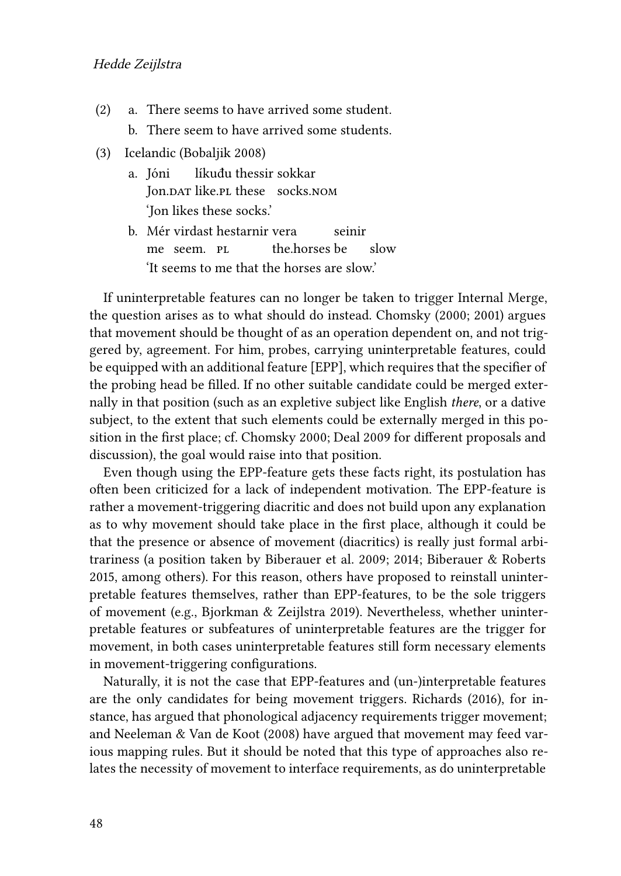- <span id="page-5-0"></span>(2) a. There seems to have arrived some student.
	- b. There seem to have arrived some students.
- <span id="page-5-1"></span>(3) Icelandic([Bobaljik 2008](#page-20-2))
	- a. Jóni Jon.<code>DAT</code> like.p<code>L</code> these  $\,$  socks.nom  $\,$ líkuđu thessir sokkar 'Jon likes these socks.'
	- b. Mér virdast hestarnir vera me seem. pl the horses be seinir slow 'It seems to me that the horses are slow.'

If uninterpretable features can no longer be taken to trigger Internal Merge, the question arises as to what should do instead. [Chomsky \(2000](#page-21-3); [2001\)](#page-21-1) argues that movement should be thought of as an operation dependent on, and not triggered by, agreement. For him, probes, carrying uninterpretable features, could be equipped with an additional feature [EPP], which requires that the specifier of the probing head be filled. If no other suitable candidate could be merged externally in that position (such as an expletive subject like English *there*, or a dative subject, to the extent that such elements could be externally merged in this position in the first place; cf. [Chomsky 2000;](#page-21-3) [Deal 2009](#page-21-4) for different proposals and discussion), the goal would raise into that position.

Even though using the EPP-feature gets these facts right, its postulation has often been criticized for a lack of independent motivation. The EPP-feature is rather a movement-triggering diacritic and does not build upon any explanation as to why movement should take place in the first place, although it could be that the presence or absence of movement (diacritics) is really just formal arbitrariness (a position taken by [Biberauer et al. 2009;](#page-20-3) [2014](#page-20-4); [Biberauer & Roberts](#page-20-5) [2015,](#page-20-5) among others). For this reason, others have proposed to reinstall uninterpretable features themselves, rather than EPP-features, to be the sole triggers of movement (e.g., [Bjorkman & Zeijlstra 2019\)](#page-20-6). Nevertheless, whether uninterpretable features or subfeatures of uninterpretable features are the trigger for movement, in both cases uninterpretable features still form necessary elements in movement-triggering configurations.

Naturally, it is not the case that EPP-features and (un-)interpretable features are the only candidates for being movement triggers. [Richards \(2016\)](#page-22-2), for instance, has argued that phonological adjacency requirements trigger movement; and [Neeleman & Van de Koot \(2008\)](#page-22-3) have argued that movement may feed various mapping rules. But it should be noted that this type of approaches also relates the necessity of movement to interface requirements, as do uninterpretable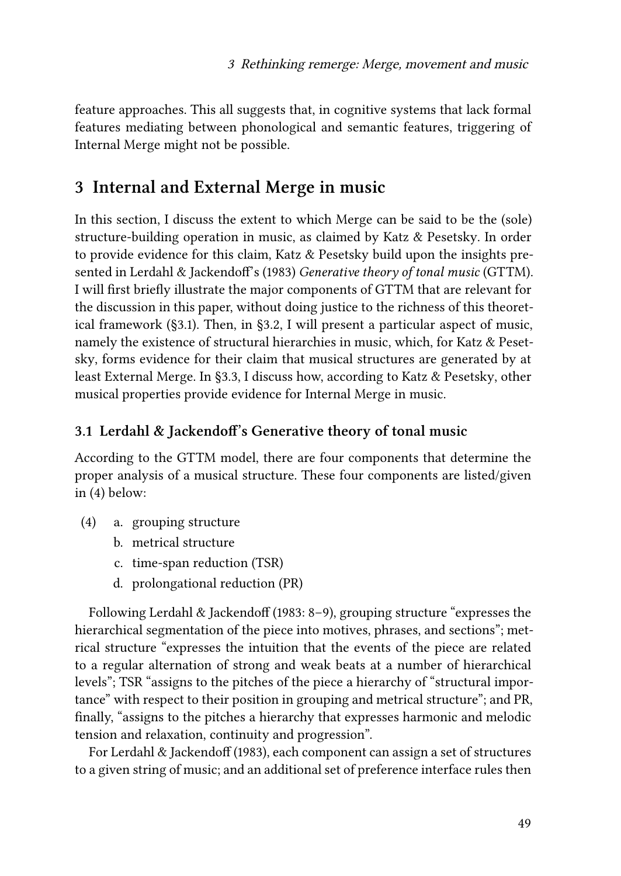feature approaches. This all suggests that, in cognitive systems that lack formal features mediating between phonological and semantic features, triggering of Internal Merge might not be possible.

## <span id="page-6-0"></span>**3 Internal and External Merge in music**

In this section, I discuss the extent to which Merge can be said to be the (sole) structure-building operation in music, as claimed by [Katz & Pesetsky.](#page-22-0) In order to provide evidence for this claim, [Katz & Pesetsky](#page-22-0) build upon the insights presented in [Lerdahl & Jackendoff](#page-22-1)'s (1983) *Generative theory of tonal music* (GTTM). I will first briefly illustrate the major components of GTTM that are relevant for the discussion in this paper, without doing justice to the richness of this theoretical framework (§[3.1](#page-6-1)). Then, in [§3.2](#page-8-0), I will present a particular aspect of music, namely the existence of structural hierarchies in music, which, for [Katz & Peset](#page-22-0)[sky,](#page-22-0) forms evidence for their claim that musical structures are generated by at least External Merge. In [§3.3,](#page-10-0) I discuss how, according to [Katz & Pesetsky,](#page-22-0) other musical properties provide evidence for Internal Merge in music.

#### <span id="page-6-1"></span>**3.1 Lerdahl & Jackendoff's Generative theory of tonal music**

According to the GTTM model, there are four components that determine the proper analysis of a musical structure. These four components are listed/given in([4](#page-6-2)) below:

- <span id="page-6-2"></span>(4) a. grouping structure
	- b. metrical structure
	- c. time-span reduction (TSR)
	- d. prolongational reduction (PR)

Following [Lerdahl & Jackendoff \(1983](#page-22-1): 8–9), grouping structure "expresses the hierarchical segmentation of the piece into motives, phrases, and sections"; metrical structure "expresses the intuition that the events of the piece are related to a regular alternation of strong and weak beats at a number of hierarchical levels"; TSR "assigns to the pitches of the piece a hierarchy of "structural importance" with respect to their position in grouping and metrical structure"; and PR, finally, "assigns to the pitches a hierarchy that expresses harmonic and melodic tension and relaxation, continuity and progression".

For [Lerdahl & Jackendoff \(1983\)](#page-22-1), each component can assign a set of structures to a given string of music; and an additional set of preference interface rules then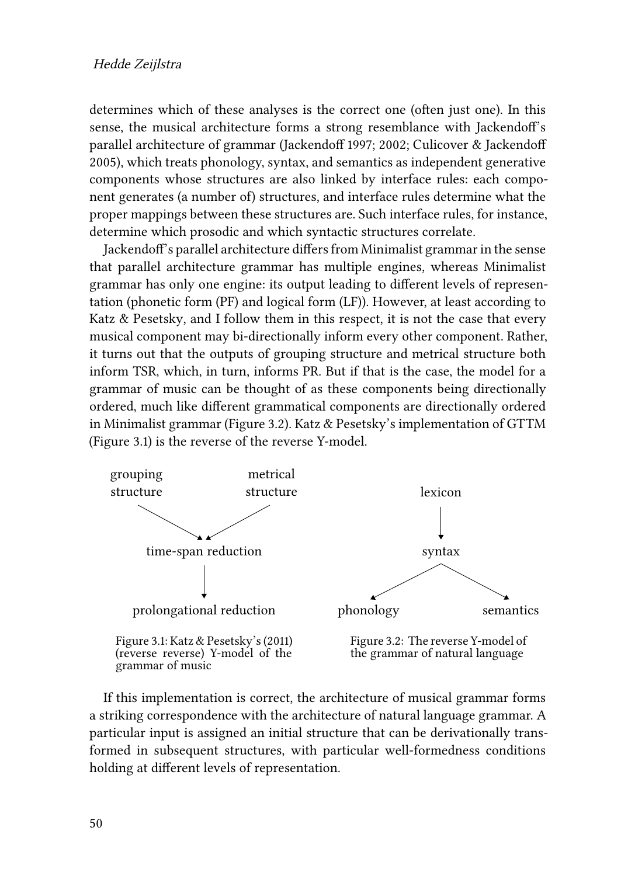determines which of these analyses is the correct one (often just one). In this sense, the musical architecture forms a strong resemblance with Jackendoff's parallel architecture of grammar [\(Jackendoff 1997;](#page-22-4) [2002](#page-22-5); [Culicover & Jackendoff](#page-21-5) [2005](#page-21-5)), which treats phonology, syntax, and semantics as independent generative components whose structures are also linked by interface rules: each component generates (a number of) structures, and interface rules determine what the proper mappings between these structures are. Such interface rules, for instance, determine which prosodic and which syntactic structures correlate.

Jackendoff's parallel architecture differs from Minimalist grammar in the sense that parallel architecture grammar has multiple engines, whereas Minimalist grammar has only one engine: its output leading to different levels of representation (phonetic form (PF) and logical form (LF)). However, at least according to [Katz & Pesetsky](#page-22-0), and I follow them in this respect, it is not the case that every musical component may bi-directionally inform every other component. Rather, it turns out that the outputs of grouping structure and metrical structure both inform TSR, which, in turn, informs PR. But if that is the case, the model for a grammar of music can be thought of as these components being directionally ordered, much like different grammatical components are directionally ordered in Minimalist grammar (Figure [3.2\)](#page-7-0). [Katz & Pesetsky'](#page-22-0)s implementation of GTTM (Figure [3.1\)](#page-7-0) is the reverse of the reverse Y-model.

<span id="page-7-0"></span>

If this implementation is correct, the architecture of musical grammar forms a striking correspondence with the architecture of natural language grammar. A particular input is assigned an initial structure that can be derivationally transformed in subsequent structures, with particular well-formedness conditions holding at different levels of representation.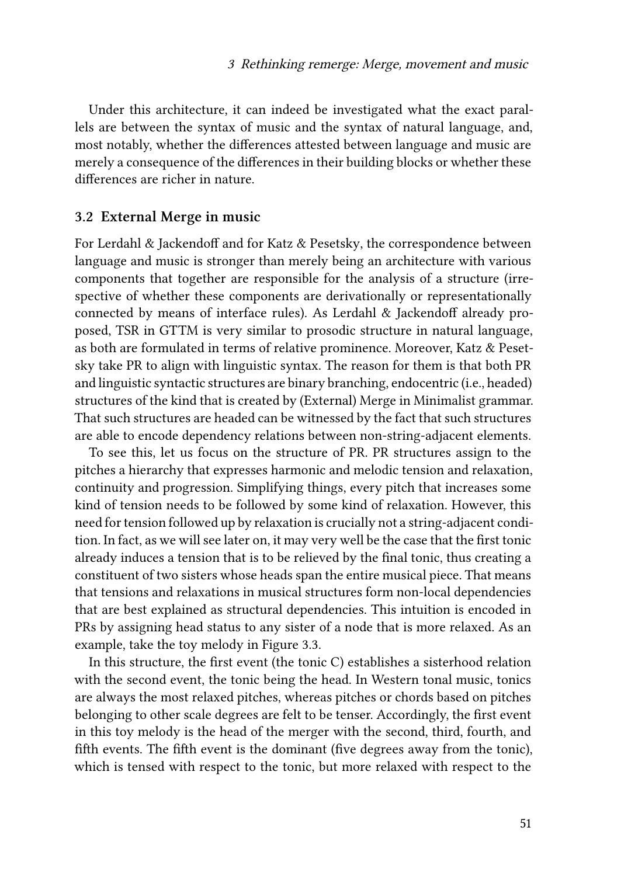Under this architecture, it can indeed be investigated what the exact parallels are between the syntax of music and the syntax of natural language, and, most notably, whether the differences attested between language and music are merely a consequence of the differences in their building blocks or whether these differences are richer in nature.

#### <span id="page-8-0"></span>**3.2 External Merge in music**

For [Lerdahl & Jackendoff](#page-22-1) and for [Katz & Pesetsky,](#page-22-0) the correspondence between language and music is stronger than merely being an architecture with various components that together are responsible for the analysis of a structure (irrespective of whether these components are derivationally or representationally connected by means of interface rules). As [Lerdahl & Jackendoff](#page-22-1) already proposed, TSR in GTTM is very similar to prosodic structure in natural language, as both are formulated in terms of relative prominence. Moreover, [Katz & Peset](#page-22-0)[sky](#page-22-0) take PR to align with linguistic syntax. The reason for them is that both PR and linguistic syntactic structures are binary branching, endocentric (i.e., headed) structures of the kind that is created by (External) Merge in Minimalist grammar. That such structures are headed can be witnessed by the fact that such structures are able to encode dependency relations between non-string-adjacent elements.

To see this, let us focus on the structure of PR. PR structures assign to the pitches a hierarchy that expresses harmonic and melodic tension and relaxation, continuity and progression. Simplifying things, every pitch that increases some kind of tension needs to be followed by some kind of relaxation. However, this need for tension followed up by relaxation is crucially not a string-adjacent condition. In fact, as we will see later on, it may very well be the case that the first tonic already induces a tension that is to be relieved by the final tonic, thus creating a constituent of two sisters whose heads span the entire musical piece. That means that tensions and relaxations in musical structures form non-local dependencies that are best explained as structural dependencies. This intuition is encoded in PRs by assigning head status to any sister of a node that is more relaxed. As an example, take the toy melody in Figure [3.3](#page-9-0).

In this structure, the first event (the tonic C) establishes a sisterhood relation with the second event, the tonic being the head. In Western tonal music, tonics are always the most relaxed pitches, whereas pitches or chords based on pitches belonging to other scale degrees are felt to be tenser. Accordingly, the first event in this toy melody is the head of the merger with the second, third, fourth, and fifth events. The fifth event is the dominant (five degrees away from the tonic), which is tensed with respect to the tonic, but more relaxed with respect to the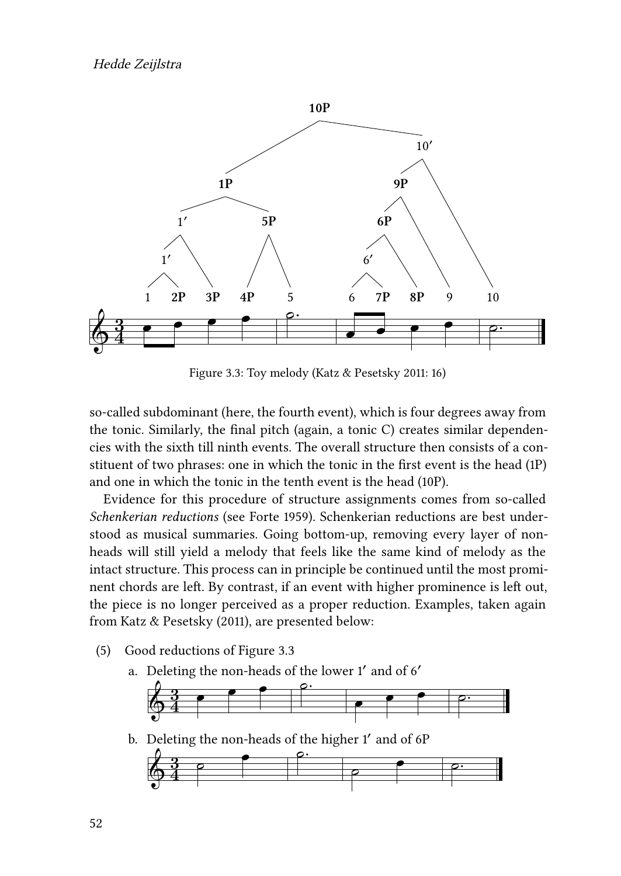<span id="page-9-0"></span>

Figure 3.3: Toy melody [\(Katz & Pesetsky 2011](#page-22-0): 16)

so-called subdominant (here, the fourth event), which is four degrees away from the tonic. Similarly, the final pitch (again, a tonic C) creates similar dependencies with the sixth till ninth events. The overall structure then consists of a constituent of two phrases: one in which the tonic in the first event is the head (1P) and one in which the tonic in the tenth event is the head (10P).

Evidence for this procedure of structure assignments comes from so-called *Schenkerian reductions* (see [Forte 1959](#page-21-6)). Schenkerian reductions are best understood as musical summaries. Going bottom-up, removing every layer of nonheads will still yield a melody that feels like the same kind of melody as the intact structure. This process can in principle be continued until the most prominent chords are left. By contrast, if an event with higher prominence is left out, the piece is no longer perceived as a proper reduction. Examples, taken again from [Katz & Pesetsky \(2011\)](#page-22-0), are presented below:

- (5) Good reductions of Figure [3.3](#page-9-0)
	- a. Deleting the non-heads of the lower 1′ and of 6′

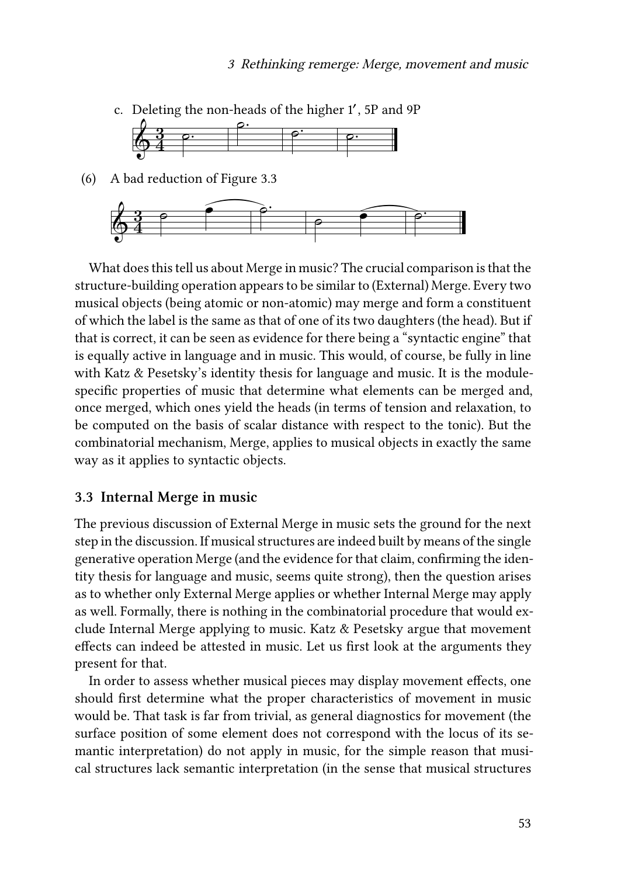

(6) A bad reduction of Figure [3.3](#page-9-0)



What does this tell us about Merge in music? The crucial comparison is that the structure-building operation appears to be similar to (External) Merge. Every two musical objects (being atomic or non-atomic) may merge and form a constituent of which the label is the same as that of one of its two daughters (the head). But if that is correct, it can be seen as evidence for there being a "syntactic engine" that is equally active in language and in music. This would, of course, be fully in line with [Katz & Pesetsky](#page-22-0)'s identity thesis for language and music. It is the modulespecific properties of music that determine what elements can be merged and, once merged, which ones yield the heads (in terms of tension and relaxation, to be computed on the basis of scalar distance with respect to the tonic). But the combinatorial mechanism, Merge, applies to musical objects in exactly the same way as it applies to syntactic objects.

#### <span id="page-10-0"></span>**3.3 Internal Merge in music**

The previous discussion of External Merge in music sets the ground for the next step in the discussion. If musical structures are indeed built by means of the single generative operation Merge (and the evidence for that claim, confirming the identity thesis for language and music, seems quite strong), then the question arises as to whether only External Merge applies or whether Internal Merge may apply as well. Formally, there is nothing in the combinatorial procedure that would exclude Internal Merge applying to music. [Katz & Pesetsky](#page-22-0) argue that movement effects can indeed be attested in music. Let us first look at the arguments they present for that.

In order to assess whether musical pieces may display movement effects, one should first determine what the proper characteristics of movement in music would be. That task is far from trivial, as general diagnostics for movement (the surface position of some element does not correspond with the locus of its semantic interpretation) do not apply in music, for the simple reason that musical structures lack semantic interpretation (in the sense that musical structures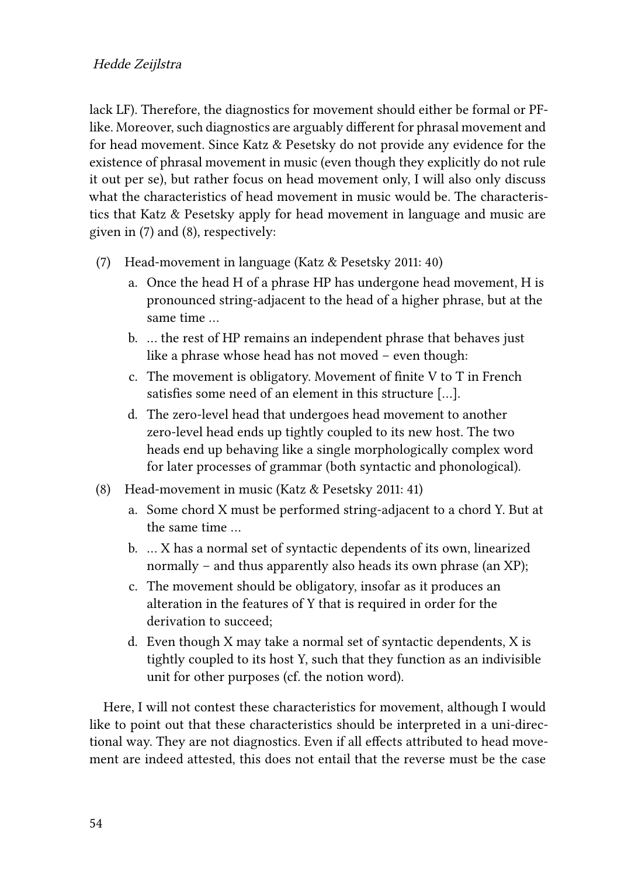lack LF). Therefore, the diagnostics for movement should either be formal or PFlike. Moreover, such diagnostics are arguably different for phrasal movement and for head movement. Since [Katz & Pesetsky](#page-22-0) do not provide any evidence for the existence of phrasal movement in music (even though they explicitly do not rule it out per se), but rather focus on head movement only, I will also only discuss what the characteristics of head movement in music would be. The characteristics that [Katz & Pesetsky](#page-22-0) apply for head movement in language and music are given in([7](#page-11-0)) and([8\)](#page-11-1), respectively:

- <span id="page-11-0"></span>(7) Head-movement in language([Katz & Pesetsky 2011:](#page-22-0) 40)
	- a. Once the head H of a phrase HP has undergone head movement, H is pronounced string-adjacent to the head of a higher phrase, but at the same time …
	- b. … the rest of HP remains an independent phrase that behaves just like a phrase whose head has not moved – even though:
	- c. The movement is obligatory. Movement of finite V to T in French satisfies some need of an element in this structure […].
	- d. The zero-level head that undergoes head movement to another zero-level head ends up tightly coupled to its new host. The two heads end up behaving like a single morphologically complex word for later processes of grammar (both syntactic and phonological).
- <span id="page-11-1"></span>(8) Head-movement in music([Katz & Pesetsky 2011:](#page-22-0) 41)
	- a. Some chord X must be performed string-adjacent to a chord Y. But at the same time …
	- b. … X has a normal set of syntactic dependents of its own, linearized normally – and thus apparently also heads its own phrase (an XP);
	- c. The movement should be obligatory, insofar as it produces an alteration in the features of Y that is required in order for the derivation to succeed;
	- d. Even though X may take a normal set of syntactic dependents, X is tightly coupled to its host Y, such that they function as an indivisible unit for other purposes (cf. the notion word).

Here, I will not contest these characteristics for movement, although I would like to point out that these characteristics should be interpreted in a uni-directional way. They are not diagnostics. Even if all effects attributed to head movement are indeed attested, this does not entail that the reverse must be the case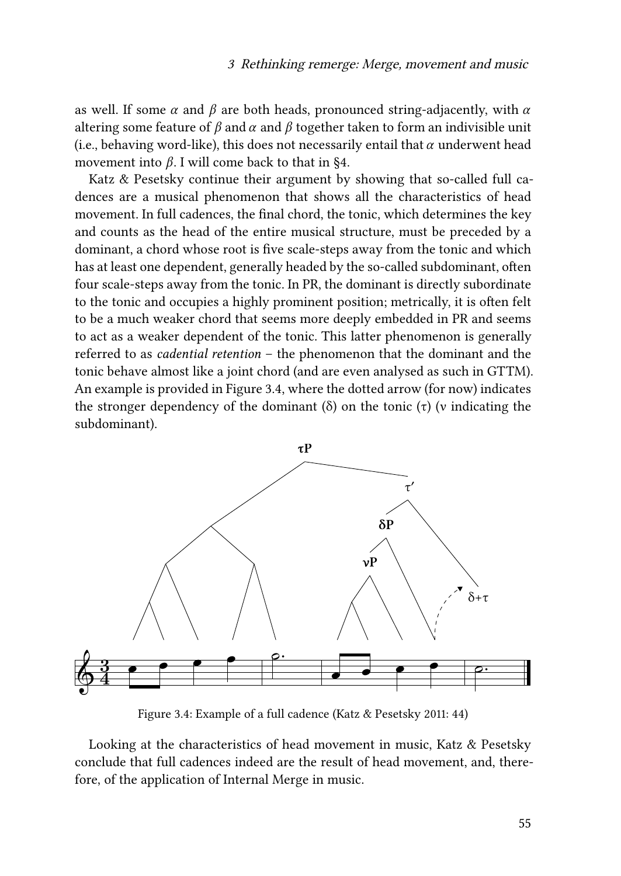as well. If some  $\alpha$  and  $\beta$  are both heads, pronounced string-adjacently, with  $\alpha$ altering some feature of  $\beta$  and  $\alpha$  and  $\beta$  together taken to form an indivisible unit (i.e., behaving word-like), this does not necessarily entail that  $\alpha$  underwent head movement into  $\beta$ . I will come back to that in [§4](#page-14-0).

[Katz & Pesetsky](#page-22-0) continue their argument by showing that so-called full cadences are a musical phenomenon that shows all the characteristics of head movement. In full cadences, the final chord, the tonic, which determines the key and counts as the head of the entire musical structure, must be preceded by a dominant, a chord whose root is five scale-steps away from the tonic and which has at least one dependent, generally headed by the so-called subdominant, often four scale-steps away from the tonic. In PR, the dominant is directly subordinate to the tonic and occupies a highly prominent position; metrically, it is often felt to be a much weaker chord that seems more deeply embedded in PR and seems to act as a weaker dependent of the tonic. This latter phenomenon is generally referred to as *cadential retention* – the phenomenon that the dominant and the tonic behave almost like a joint chord (and are even analysed as such in GTTM). An example is provided in Figure [3.4,](#page-12-0) where the dotted arrow (for now) indicates the stronger dependency of the dominant (δ) on the tonic (τ) (v indicating the subdominant).

<span id="page-12-0"></span>

Figure 3.4: Example of a full cadence [\(Katz & Pesetsky 2011](#page-22-0): 44)

Looking at the characteristics of head movement in music, [Katz & Pesetsky](#page-22-0) conclude that full cadences indeed are the result of head movement, and, therefore, of the application of Internal Merge in music.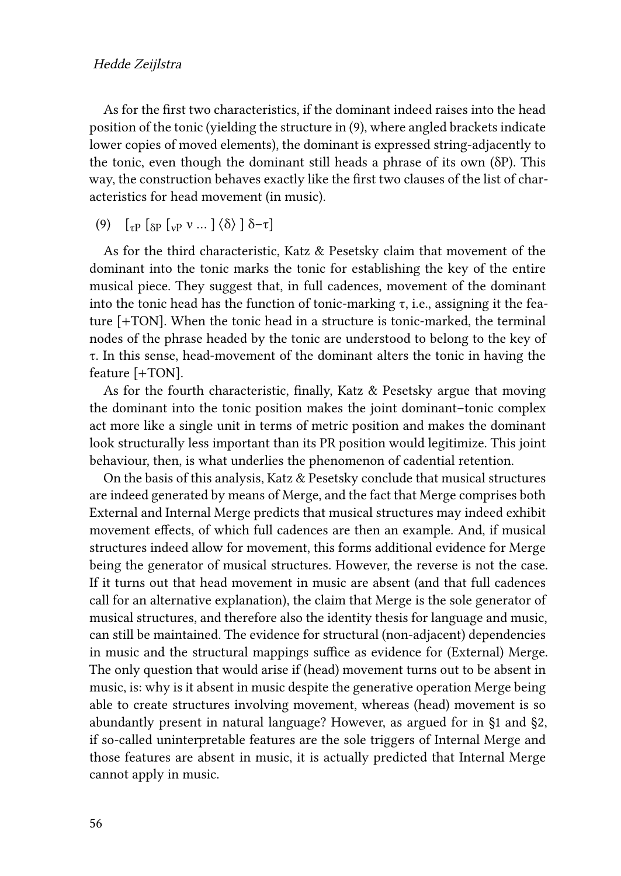As for the first two characteristics, if the dominant indeed raises into the head position of the tonic (yielding the structure in [\(9\)](#page-13-0), where angled brackets indicate lower copies of moved elements), the dominant is expressed string-adjacently to the tonic, even though the dominant still heads a phrase of its own (δP). This way, the construction behaves exactly like the first two clauses of the list of characteristics for head movement (in music).

<span id="page-13-0"></span>(9)  $\left[\begin{matrix} 1 & \sqrt{2} \\ 1 & \sqrt{2} \end{matrix}\right]$   $\left[\begin{matrix} 1 & \sqrt{2} \\ 0 & \sqrt{2} \end{matrix}\right]$   $\left[\begin{matrix} 1 & \sqrt{2} \\ 0 & \sqrt{2} \end{matrix}\right]$   $\left[\begin{matrix} 1 & \sqrt{2} \\ 0 & \sqrt{2} \end{matrix}\right]$   $\left[\begin{matrix} 1 & \sqrt{2} \\ 0 & \sqrt{2} \end{matrix}\right]$ 

As for the third characteristic, [Katz & Pesetsky](#page-22-0) claim that movement of the dominant into the tonic marks the tonic for establishing the key of the entire musical piece. They suggest that, in full cadences, movement of the dominant into the tonic head has the function of tonic-marking τ, i.e., assigning it the feature [+TON]. When the tonic head in a structure is tonic-marked, the terminal nodes of the phrase headed by the tonic are understood to belong to the key of τ. In this sense, head-movement of the dominant alters the tonic in having the feature [+TON].

As for the fourth characteristic, finally, [Katz & Pesetsky](#page-22-0) argue that moving the dominant into the tonic position makes the joint dominant–tonic complex act more like a single unit in terms of metric position and makes the dominant look structurally less important than its PR position would legitimize. This joint behaviour, then, is what underlies the phenomenon of cadential retention.

On the basis of this analysis, [Katz & Pesetsky](#page-22-0) conclude that musical structures are indeed generated by means of Merge, and the fact that Merge comprises both External and Internal Merge predicts that musical structures may indeed exhibit movement effects, of which full cadences are then an example. And, if musical structures indeed allow for movement, this forms additional evidence for Merge being the generator of musical structures. However, the reverse is not the case. If it turns out that head movement in music are absent (and that full cadences call for an alternative explanation), the claim that Merge is the sole generator of musical structures, and therefore also the identity thesis for language and music, can still be maintained. The evidence for structural (non-adjacent) dependencies in music and the structural mappings suffice as evidence for (External) Merge. The only question that would arise if (head) movement turns out to be absent in music, is: why is it absent in music despite the generative operation Merge being able to create structures involving movement, whereas (head) movement is so abundantly present in natural language? However, as argued for in §[1](#page-1-0) and [§2,](#page-3-0) if so-called uninterpretable features are the sole triggers of Internal Merge and those features are absent in music, it is actually predicted that Internal Merge cannot apply in music.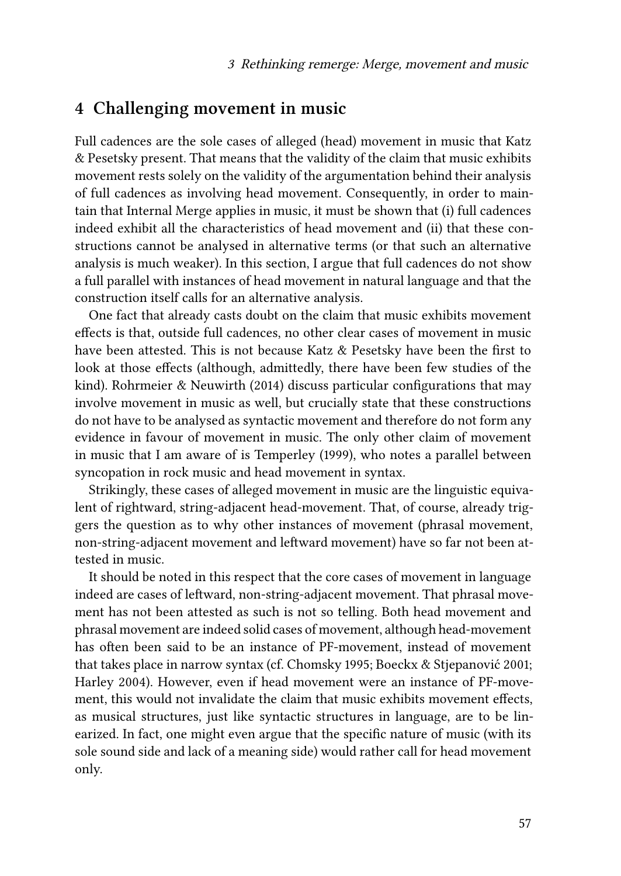### <span id="page-14-0"></span>**4 Challenging movement in music**

Full cadences are the sole cases of alleged (head) movement in music that [Katz](#page-22-0) [& Pesetsky](#page-22-0) present. That means that the validity of the claim that music exhibits movement rests solely on the validity of the argumentation behind their analysis of full cadences as involving head movement. Consequently, in order to maintain that Internal Merge applies in music, it must be shown that (i) full cadences indeed exhibit all the characteristics of head movement and (ii) that these constructions cannot be analysed in alternative terms (or that such an alternative analysis is much weaker). In this section, I argue that full cadences do not show a full parallel with instances of head movement in natural language and that the construction itself calls for an alternative analysis.

One fact that already casts doubt on the claim that music exhibits movement effects is that, outside full cadences, no other clear cases of movement in music have been attested. This is not because [Katz & Pesetsky](#page-22-0) have been the first to look at those effects (although, admittedly, there have been few studies of the kind). [Rohrmeier & Neuwirth \(2014\)](#page-23-5) discuss particular configurations that may involve movement in music as well, but crucially state that these constructions do not have to be analysed as syntactic movement and therefore do not form any evidence in favour of movement in music. The only other claim of movement in music that I am aware of is [Temperley \(1999\)](#page-23-6), who notes a parallel between syncopation in rock music and head movement in syntax.

Strikingly, these cases of alleged movement in music are the linguistic equivalent of rightward, string-adjacent head-movement. That, of course, already triggers the question as to why other instances of movement (phrasal movement, non-string-adjacent movement and leftward movement) have so far not been attested in music.

It should be noted in this respect that the core cases of movement in language indeed are cases of leftward, non-string-adjacent movement. That phrasal movement has not been attested as such is not so telling. Both head movement and phrasal movement are indeed solid cases of movement, although head-movement has often been said to be an instance of PF-movement, instead of movement that takes place in narrow syntax (cf. [Chomsky 1995;](#page-21-0) [Boeckx & Stjepanović 2001;](#page-20-7) [Harley 2004](#page-22-6)). However, even if head movement were an instance of PF-movement, this would not invalidate the claim that music exhibits movement effects, as musical structures, just like syntactic structures in language, are to be linearized. In fact, one might even argue that the specific nature of music (with its sole sound side and lack of a meaning side) would rather call for head movement only.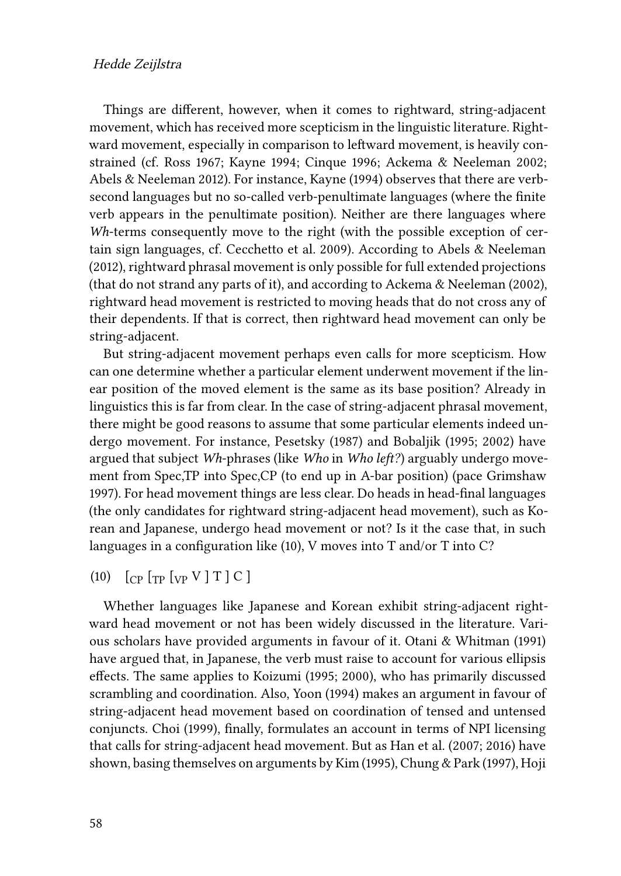#### Hedde Zeijlstra

Things are different, however, when it comes to rightward, string-adjacent movement, which has received more scepticism in the linguistic literature. Rightward movement, especially in comparison to leftward movement, is heavily constrained (cf. [Ross 1967](#page-23-7); [Kayne 1994](#page-22-7); [Cinque 1996;](#page-21-7) [Ackema & Neeleman 2002;](#page-20-8) [Abels & Neeleman 2012\)](#page-20-9). For instance, [Kayne \(1994\)](#page-22-7) observes that there are verbsecond languages but no so-called verb-penultimate languages (where the finite verb appears in the penultimate position). Neither are there languages where *Wh*-terms consequently move to the right (with the possible exception of certain sign languages, cf. [Cecchetto et al. 2009](#page-21-8)). According to [Abels & Neeleman](#page-20-9) [\(2012\)](#page-20-9), rightward phrasal movement is only possible for full extended projections (that do not strand any parts of it), and according to [Ackema & Neeleman \(2002\),](#page-20-8) rightward head movement is restricted to moving heads that do not cross any of their dependents. If that is correct, then rightward head movement can only be string-adjacent.

But string-adjacent movement perhaps even calls for more scepticism. How can one determine whether a particular element underwent movement if the linear position of the moved element is the same as its base position? Already in linguistics this is far from clear. In the case of string-adjacent phrasal movement, there might be good reasons to assume that some particular elements indeed undergo movement. For instance, [Pesetsky \(1987\)](#page-22-8) and [Bobaljik \(1995](#page-20-10); [2002\)](#page-20-11) have argued that subject *Wh*-phrases (like *Who* in *Who left?*) arguably undergo movement from Spec,TP into Spec,CP (to end up in A-bar position) (pace [Grimshaw](#page-21-9) [1997](#page-21-9)). For head movement things are less clear. Do heads in head-final languages (the only candidates for rightward string-adjacent head movement), such as Korean and Japanese, undergo head movement or not? Is it the case that, in such languages in a configuration like [\(10\)](#page-15-0), V moves into T and/or T into C?

#### <span id="page-15-0"></span>(10)  $[CP [TP] [VP] T ] C ]$

Whether languages like Japanese and Korean exhibit string-adjacent rightward head movement or not has been widely discussed in the literature. Various scholars have provided arguments in favour of it. [Otani & Whitman \(1991\)](#page-22-9) have argued that, in Japanese, the verb must raise to account for various ellipsis effects. The same applies to [Koizumi \(1995;](#page-22-10) [2000\)](#page-22-11), who has primarily discussed scrambling and coordination. Also, [Yoon \(1994\)](#page-23-8) makes an argument in favour of string-adjacent head movement based on coordination of tensed and untensed conjuncts. [Choi \(1999\),](#page-21-10) finally, formulates an account in terms of NPI licensing that calls for string-adjacent head movement. But as [Han et al. \(2007](#page-21-11); [2016\)](#page-21-12) have shown, basing themselves on arguments by [Kim \(1995\),](#page-22-12) [Chung & Park \(1997\)](#page-21-13), [Hoji](#page-22-13)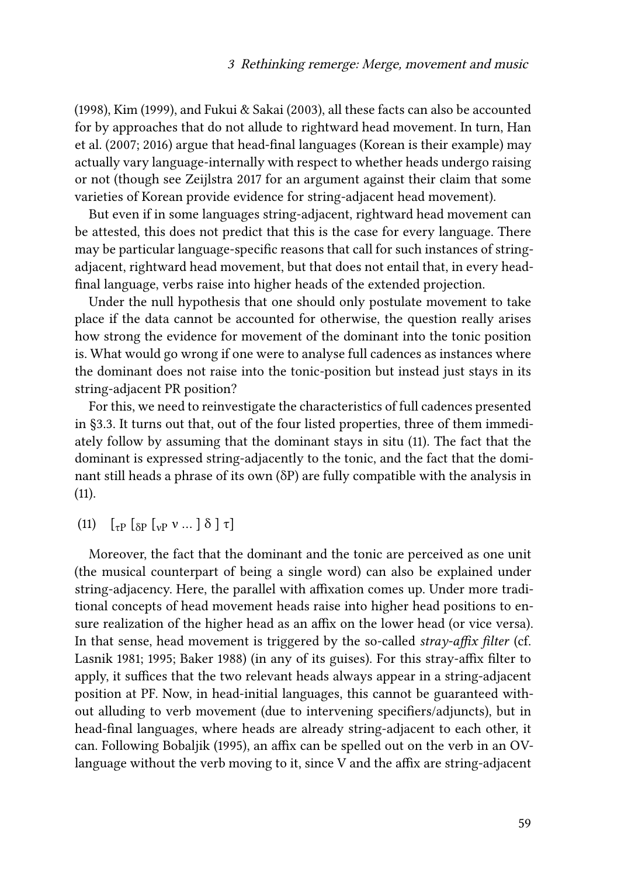[\(1998\),](#page-22-13) [Kim \(1999\)](#page-22-14), and [Fukui & Sakai \(2003\)](#page-21-14), all these facts can also be accounted for by approaches that do not allude to rightward head movement. In turn, [Han](#page-21-11) [et al. \(2007;](#page-21-11) [2016\)](#page-21-12) argue that head-final languages (Korean is their example) may actually vary language-internally with respect to whether heads undergo raising or not (though see [Zeijlstra 2017](#page-23-9) for an argument against their claim that some varieties of Korean provide evidence for string-adjacent head movement).

But even if in some languages string-adjacent, rightward head movement can be attested, this does not predict that this is the case for every language. There may be particular language-specific reasons that call for such instances of stringadjacent, rightward head movement, but that does not entail that, in every headfinal language, verbs raise into higher heads of the extended projection.

Under the null hypothesis that one should only postulate movement to take place if the data cannot be accounted for otherwise, the question really arises how strong the evidence for movement of the dominant into the tonic position is. What would go wrong if one were to analyse full cadences as instances where the dominant does not raise into the tonic-position but instead just stays in its string-adjacent PR position?

For this, we need to reinvestigate the characteristics of full cadences presented in§[3.3](#page-10-0). It turns out that, out of the four listed properties, three of them immediately follow by assuming that the dominant stays in situ [\(11\)](#page-16-0). The fact that the dominant is expressed string-adjacently to the tonic, and the fact that the dominant still heads a phrase of its own (δP) are fully compatible with the analysis in  $(11)$ .

<span id="page-16-0"></span>(11)  $\begin{bmatrix} 1 & \sqrt{2} \\ 0 & \sqrt{2} \end{bmatrix}$   $\begin{bmatrix} 1 & \sqrt{2} \\ 0 & \sqrt{2} \end{bmatrix}$   $\begin{bmatrix} 1 & \sqrt{2} \\ 0 & \sqrt{2} \end{bmatrix}$   $\begin{bmatrix} 1 & \sqrt{2} \\ 0 & \sqrt{2} \end{bmatrix}$   $\begin{bmatrix} 1 & \sqrt{2} \\ 0 & \sqrt{2} \end{bmatrix}$ 

Moreover, the fact that the dominant and the tonic are perceived as one unit (the musical counterpart of being a single word) can also be explained under string-adjacency. Here, the parallel with affixation comes up. Under more traditional concepts of head movement heads raise into higher head positions to ensure realization of the higher head as an affix on the lower head (or vice versa). In that sense, head movement is triggered by the so-called *stray-affix filter* (cf. [Lasnik 1981;](#page-22-15) [1995;](#page-22-16) [Baker 1988](#page-20-12)) (in any of its guises). For this stray-affix filter to apply, it suffices that the two relevant heads always appear in a string-adjacent position at PF. Now, in head-initial languages, this cannot be guaranteed without alluding to verb movement (due to intervening specifiers/adjuncts), but in head-final languages, where heads are already string-adjacent to each other, it can. Following [Bobaljik \(1995\),](#page-20-10) an affix can be spelled out on the verb in an OVlanguage without the verb moving to it, since V and the affix are string-adjacent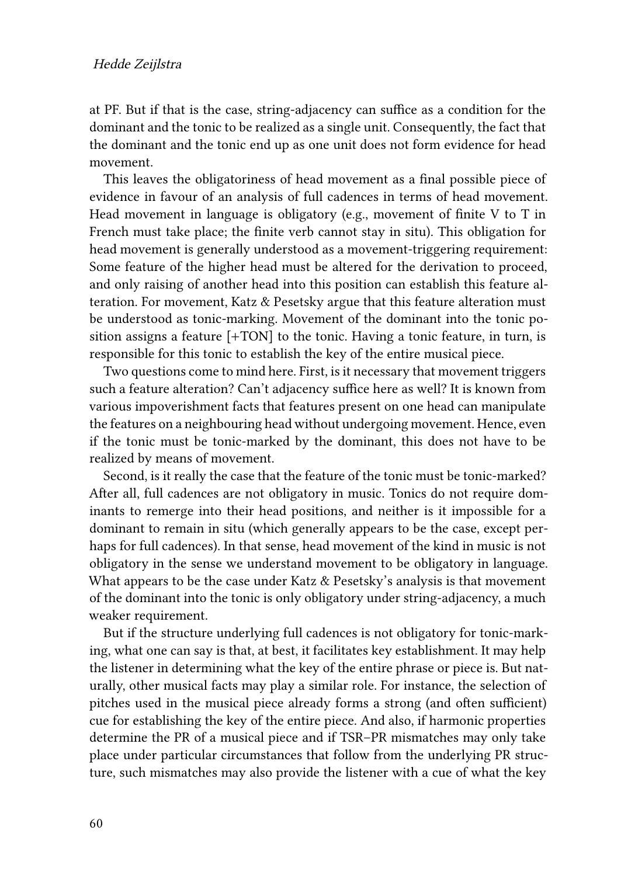at PF. But if that is the case, string-adjacency can suffice as a condition for the dominant and the tonic to be realized as a single unit. Consequently, the fact that the dominant and the tonic end up as one unit does not form evidence for head movement.

This leaves the obligatoriness of head movement as a final possible piece of evidence in favour of an analysis of full cadences in terms of head movement. Head movement in language is obligatory (e.g., movement of finite V to T in French must take place; the finite verb cannot stay in situ). This obligation for head movement is generally understood as a movement-triggering requirement: Some feature of the higher head must be altered for the derivation to proceed, and only raising of another head into this position can establish this feature alteration. For movement, [Katz & Pesetsky](#page-22-0) argue that this feature alteration must be understood as tonic-marking. Movement of the dominant into the tonic position assigns a feature [+TON] to the tonic. Having a tonic feature, in turn, is responsible for this tonic to establish the key of the entire musical piece.

Two questions come to mind here. First, is it necessary that movement triggers such a feature alteration? Can't adjacency suffice here as well? It is known from various impoverishment facts that features present on one head can manipulate the features on a neighbouring head without undergoing movement. Hence, even if the tonic must be tonic-marked by the dominant, this does not have to be realized by means of movement.

Second, is it really the case that the feature of the tonic must be tonic-marked? After all, full cadences are not obligatory in music. Tonics do not require dominants to remerge into their head positions, and neither is it impossible for a dominant to remain in situ (which generally appears to be the case, except perhaps for full cadences). In that sense, head movement of the kind in music is not obligatory in the sense we understand movement to be obligatory in language. What appears to be the case under [Katz & Pesetsky'](#page-22-0)s analysis is that movement of the dominant into the tonic is only obligatory under string-adjacency, a much weaker requirement.

But if the structure underlying full cadences is not obligatory for tonic-marking, what one can say is that, at best, it facilitates key establishment. It may help the listener in determining what the key of the entire phrase or piece is. But naturally, other musical facts may play a similar role. For instance, the selection of pitches used in the musical piece already forms a strong (and often sufficient) cue for establishing the key of the entire piece. And also, if harmonic properties determine the PR of a musical piece and if TSR–PR mismatches may only take place under particular circumstances that follow from the underlying PR structure, such mismatches may also provide the listener with a cue of what the key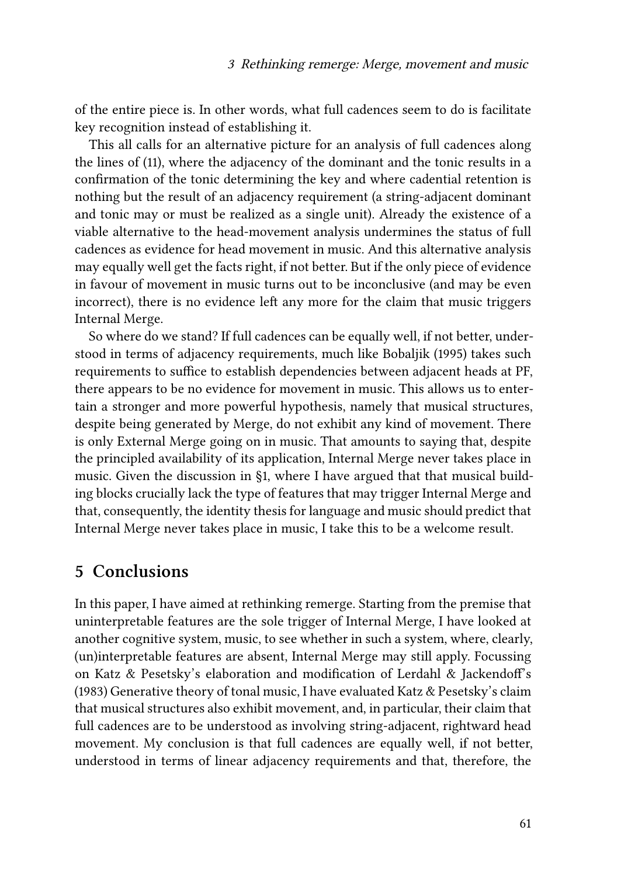of the entire piece is. In other words, what full cadences seem to do is facilitate key recognition instead of establishing it.

This all calls for an alternative picture for an analysis of full cadences along the lines of [\(11](#page-16-0)), where the adjacency of the dominant and the tonic results in a confirmation of the tonic determining the key and where cadential retention is nothing but the result of an adjacency requirement (a string-adjacent dominant and tonic may or must be realized as a single unit). Already the existence of a viable alternative to the head-movement analysis undermines the status of full cadences as evidence for head movement in music. And this alternative analysis may equally well get the facts right, if not better. But if the only piece of evidence in favour of movement in music turns out to be inconclusive (and may be even incorrect), there is no evidence left any more for the claim that music triggers Internal Merge.

So where do we stand? If full cadences can be equally well, if not better, understood in terms of adjacency requirements, much like [Bobaljik \(1995\)](#page-20-10) takes such requirements to suffice to establish dependencies between adjacent heads at PF, there appears to be no evidence for movement in music. This allows us to entertain a stronger and more powerful hypothesis, namely that musical structures, despite being generated by Merge, do not exhibit any kind of movement. There is only External Merge going on in music. That amounts to saying that, despite the principled availability of its application, Internal Merge never takes place in music. Given the discussion in §[1,](#page-1-0) where I have argued that that musical building blocks crucially lack the type of features that may trigger Internal Merge and that, consequently, the identity thesis for language and music should predict that Internal Merge never takes place in music, I take this to be a welcome result.

## <span id="page-18-0"></span>**5 Conclusions**

In this paper, I have aimed at rethinking remerge. Starting from the premise that uninterpretable features are the sole trigger of Internal Merge, I have looked at another cognitive system, music, to see whether in such a system, where, clearly, (un)interpretable features are absent, Internal Merge may still apply. Focussing on [Katz & Pesetsky](#page-22-0)'s elaboration and modification of [Lerdahl & Jackendoff](#page-22-1)'s (1983) Generative theory of tonal music, I have evaluated [Katz & Pesetsky](#page-22-0)'s claim that musical structures also exhibit movement, and, in particular, their claim that full cadences are to be understood as involving string-adjacent, rightward head movement. My conclusion is that full cadences are equally well, if not better, understood in terms of linear adjacency requirements and that, therefore, the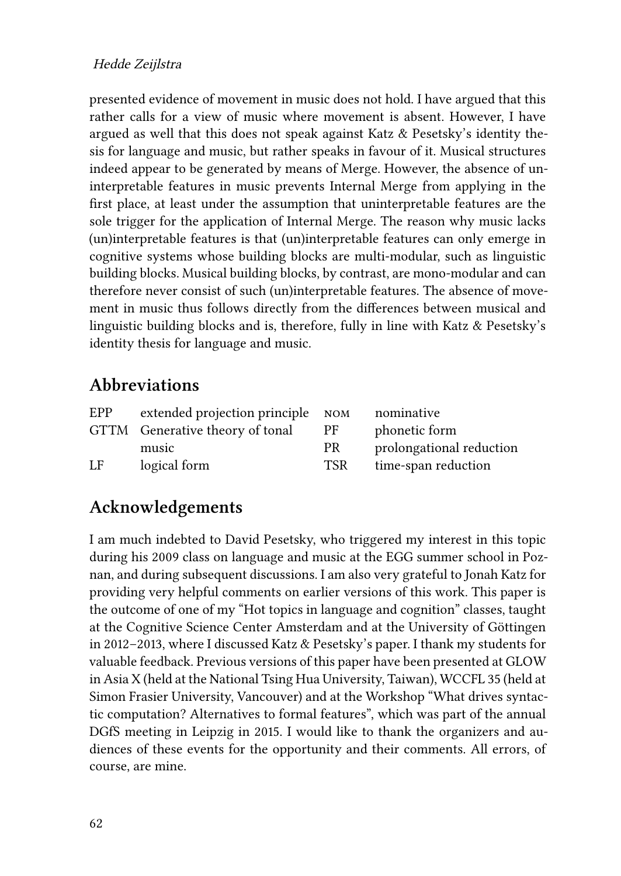#### Hedde Zeijlstra

presented evidence of movement in music does not hold. I have argued that this rather calls for a view of music where movement is absent. However, I have argued as well that this does not speak against Katz & Pesetsky's identity thesis for language and music, but rather speaks in favour of it. Musical structures indeed appear to be generated by means of Merge. However, the absence of uninterpretable features in music prevents Internal Merge from applying in the first place, at least under the assumption that uninterpretable features are the sole trigger for the application of Internal Merge. The reason why music lacks (un)interpretable features is that (un)interpretable features can only emerge in cognitive systems whose building blocks are multi-modular, such as linguistic building blocks. Musical building blocks, by contrast, are mono-modular and can therefore never consist of such (un)interpretable features. The absence of movement in music thus follows directly from the differences between musical and linguistic building blocks and is, therefore, fully in line with Katz & Pesetsky's identity thesis for language and music.

## **Abbreviations**

| EPP | extended projection principle NOM |            | nominative               |
|-----|-----------------------------------|------------|--------------------------|
|     | GTTM Generative theory of tonal   | <b>PF</b>  | phonetic form            |
|     | music                             | <b>PR</b>  | prolongational reduction |
| LF  | logical form                      | <b>TSR</b> | time-span reduction      |

# **Acknowledgements**

I am much indebted to David Pesetsky, who triggered my interest in this topic during his 2009 class on language and music at the EGG summer school in Poznan, and during subsequent discussions. I am also very grateful to Jonah Katz for providing very helpful comments on earlier versions of this work. This paper is the outcome of one of my "Hot topics in language and cognition" classes, taught at the Cognitive Science Center Amsterdam and at the University of Göttingen in 2012–2013, where I discussed [Katz & Pesetsky'](#page-22-0)s paper. I thank my students for valuable feedback. Previous versions of this paper have been presented at GLOW in Asia X (held at the National Tsing Hua University, Taiwan), WCCFL 35 (held at Simon Frasier University, Vancouver) and at the Workshop "What drives syntactic computation? Alternatives to formal features", which was part of the annual DGfS meeting in Leipzig in 2015. I would like to thank the organizers and audiences of these events for the opportunity and their comments. All errors, of course, are mine.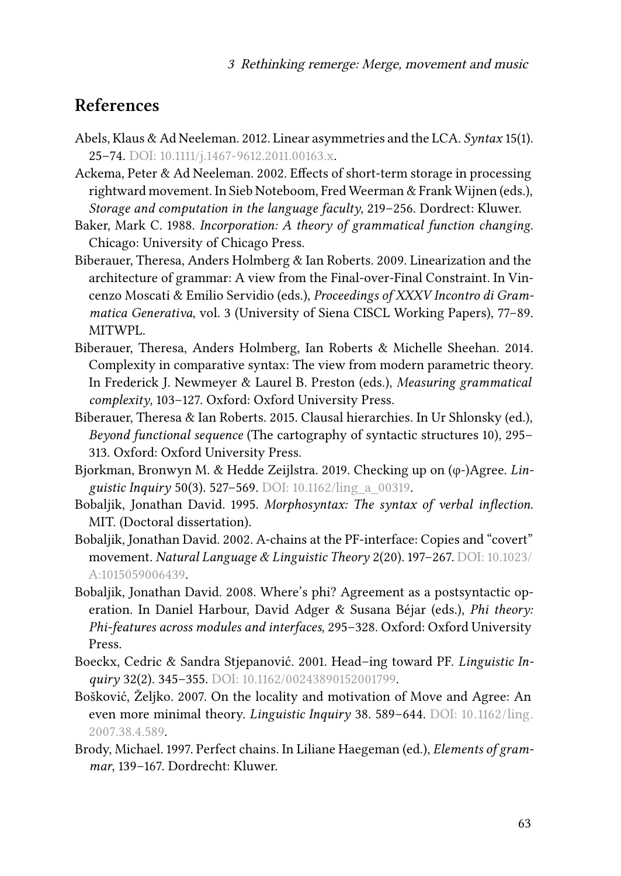## **References**

- <span id="page-20-9"></span>Abels, Klaus & Ad Neeleman. 2012. Linear asymmetries and the LCA. *Syntax* 15(1). 25–74. DOI: [10.1111/j.1467-9612.2011.00163.x](https://doi.org/10.1111/j.1467-9612.2011.00163.x).
- <span id="page-20-8"></span>Ackema, Peter & Ad Neeleman. 2002. Effects of short-term storage in processing rightward movement. In Sieb Noteboom, Fred Weerman & Frank Wijnen (eds.), *Storage and computation in the language faculty*, 219–256. Dordrect: Kluwer.
- <span id="page-20-12"></span>Baker, Mark C. 1988. *Incorporation: A theory of grammatical function changing*. Chicago: University of Chicago Press.
- <span id="page-20-3"></span>Biberauer, Theresa, Anders Holmberg & Ian Roberts. 2009. Linearization and the architecture of grammar: A view from the Final-over-Final Constraint. In Vincenzo Moscati & Emilio Servidio (eds.), *Proceedings of XXXV Incontro di Grammatica Generativa*, vol. 3 (University of Siena CISCL Working Papers), 77–89. MITWPL.
- <span id="page-20-4"></span>Biberauer, Theresa, Anders Holmberg, Ian Roberts & Michelle Sheehan. 2014. Complexity in comparative syntax: The view from modern parametric theory. In Frederick J. Newmeyer & Laurel B. Preston (eds.), *Measuring grammatical complexity*, 103–127. Oxford: Oxford University Press.
- <span id="page-20-5"></span>Biberauer, Theresa & Ian Roberts. 2015. Clausal hierarchies. In Ur Shlonsky (ed.), *Beyond functional sequence* (The cartography of syntactic structures 10), 295– 313. Oxford: Oxford University Press.
- <span id="page-20-6"></span>Bjorkman, Bronwyn M. & Hedde Zeijlstra. 2019. Checking up on (φ-)Agree. *Linguistic Inquiry* 50(3). 527–569. DOI: [10.1162/ling\\_a\\_00319](https://doi.org/10.1162/ling_a_00319).
- <span id="page-20-10"></span>Bobaljik, Jonathan David. 1995. *Morphosyntax: The syntax of verbal inflection*. MIT. (Doctoral dissertation).
- <span id="page-20-11"></span>Bobaljik, Jonathan David. 2002. A-chains at the PF-interface: Copies and "covert" movement. *Natural Language & Linguistic Theory* 2(20). 197–267. DOI: [10.1023/](https://doi.org/10.1023/A:1015059006439) [A:1015059006439.](https://doi.org/10.1023/A:1015059006439)
- <span id="page-20-2"></span>Bobaljik, Jonathan David. 2008. Where's phi? Agreement as a postsyntactic operation. In Daniel Harbour, David Adger & Susana Béjar (eds.), *Phi theory: Phi-features across modules and interfaces*, 295–328. Oxford: Oxford University Press.
- <span id="page-20-7"></span>Boeckx, Cedric & Sandra Stjepanović. 2001. Head–ing toward PF. *Linguistic Inquiry* 32(2). 345–355. DOI: [10.1162/00243890152001799](https://doi.org/10.1162/00243890152001799).
- <span id="page-20-0"></span>Bošković, Željko. 2007. On the locality and motivation of Move and Agree: An even more minimal theory. *Linguistic Inquiry* 38. 589–644. DOI: [10.1162/ling.](https://doi.org/10.1162/ling.2007.38.4.589) [2007.38.4.589.](https://doi.org/10.1162/ling.2007.38.4.589)
- <span id="page-20-1"></span>Brody, Michael. 1997. Perfect chains. In Liliane Haegeman (ed.), *Elements of grammar*, 139–167. Dordrecht: Kluwer.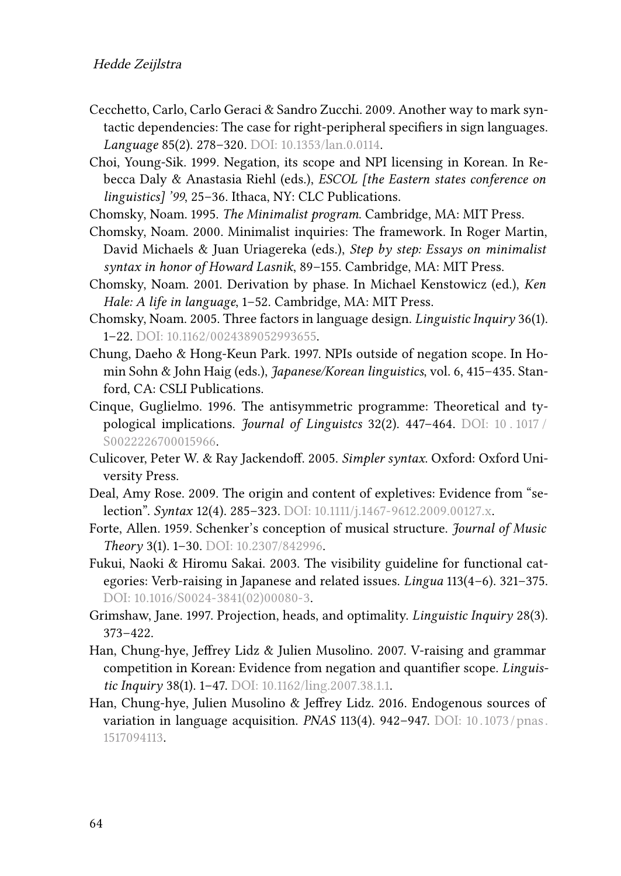- <span id="page-21-8"></span>Cecchetto, Carlo, Carlo Geraci & Sandro Zucchi. 2009. Another way to mark syntactic dependencies: The case for right-peripheral specifiers in sign languages. *Language* 85(2). 278–320. DOI: [10.1353/lan.0.0114.](https://doi.org/10.1353/lan.0.0114)
- <span id="page-21-10"></span>Choi, Young-Sik. 1999. Negation, its scope and NPI licensing in Korean. In Rebecca Daly & Anastasia Riehl (eds.), *ESCOL [the Eastern states conference on linguistics] '99*, 25–36. Ithaca, NY: CLC Publications.
- <span id="page-21-0"></span>Chomsky, Noam. 1995. *The Minimalist program*. Cambridge, MA: MIT Press.
- <span id="page-21-3"></span>Chomsky, Noam. 2000. Minimalist inquiries: The framework. In Roger Martin, David Michaels & Juan Uriagereka (eds.), *Step by step: Essays on minimalist syntax in honor of Howard Lasnik*, 89–155. Cambridge, MA: MIT Press.
- <span id="page-21-1"></span>Chomsky, Noam. 2001. Derivation by phase. In Michael Kenstowicz (ed.), *Ken Hale: A life in language*, 1–52. Cambridge, MA: MIT Press.
- <span id="page-21-2"></span>Chomsky, Noam. 2005. Three factors in language design. *Linguistic Inquiry* 36(1). 1–22. DOI: [10.1162/0024389052993655.](https://doi.org/10.1162/0024389052993655)
- <span id="page-21-13"></span>Chung, Daeho & Hong-Keun Park. 1997. NPIs outside of negation scope. In Homin Sohn & John Haig (eds.), *Japanese/Korean linguistics*, vol. 6, 415–435. Stanford, CA: CSLI Publications.
- <span id="page-21-7"></span>Cinque, Guglielmo. 1996. The antisymmetric programme: Theoretical and typological implications. *Journal of Linguistcs* 32(2). 447–464. DOI: [10 . 1017 /](https://doi.org/10.1017/S0022226700015966) [S0022226700015966.](https://doi.org/10.1017/S0022226700015966)
- <span id="page-21-5"></span>Culicover, Peter W. & Ray Jackendoff. 2005. *Simpler syntax*. Oxford: Oxford University Press.
- <span id="page-21-4"></span>Deal, Amy Rose. 2009. The origin and content of expletives: Evidence from "selection". *Syntax* 12(4). 285–323. DOI: [10.1111/j.1467-9612.2009.00127.x.](https://doi.org/10.1111/j.1467-9612.2009.00127.x)
- <span id="page-21-6"></span>Forte, Allen. 1959. Schenker's conception of musical structure. *Journal of Music Theory* 3(1). 1–30. DOI: [10.2307/842996](https://doi.org/10.2307/842996).
- <span id="page-21-14"></span>Fukui, Naoki & Hiromu Sakai. 2003. The visibility guideline for functional categories: Verb-raising in Japanese and related issues. *Lingua* 113(4–6). 321–375. DOI: [10.1016/S0024-3841\(02\)00080-3.](https://doi.org/10.1016/S0024-3841(02)00080-3)
- <span id="page-21-9"></span>Grimshaw, Jane. 1997. Projection, heads, and optimality. *Linguistic Inquiry* 28(3). 373–422.
- <span id="page-21-11"></span>Han, Chung-hye, Jeffrey Lidz & Julien Musolino. 2007. V-raising and grammar competition in Korean: Evidence from negation and quantifier scope. *Linguistic Inquiry* 38(1). 1–47. DOI: [10.1162/ling.2007.38.1.1](https://doi.org/10.1162/ling.2007.38.1.1).
- <span id="page-21-12"></span>Han, Chung-hye, Julien Musolino & Jeffrey Lidz. 2016. Endogenous sources of variation in language acquisition. *PNAS* 113(4). 942–947. DOI: [10. 1073 / pnas.](https://doi.org/10.1073/pnas.1517094113) [1517094113.](https://doi.org/10.1073/pnas.1517094113)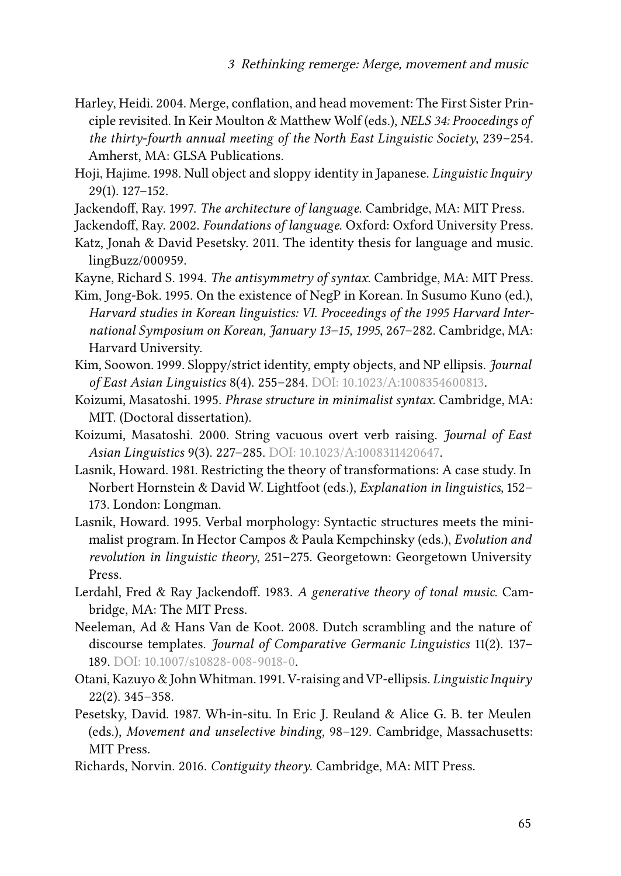- <span id="page-22-6"></span>Harley, Heidi. 2004. Merge, conflation, and head movement: The First Sister Principle revisited. In Keir Moulton & Matthew Wolf (eds.), *NELS 34: Proocedings of the thirty-fourth annual meeting of the North East Linguistic Society*, 239–254. Amherst, MA: GLSA Publications.
- <span id="page-22-13"></span>Hoji, Hajime. 1998. Null object and sloppy identity in Japanese. *Linguistic Inquiry* 29(1). 127–152.
- <span id="page-22-4"></span>Jackendoff, Ray. 1997. *The architecture of language*. Cambridge, MA: MIT Press.
- <span id="page-22-5"></span>Jackendoff, Ray. 2002. *Foundations of language*. Oxford: Oxford University Press.
- <span id="page-22-0"></span>Katz, Jonah & David Pesetsky. 2011. The identity thesis for language and music. lingBuzz/000959.
- <span id="page-22-7"></span>Kayne, Richard S. 1994. *The antisymmetry of syntax*. Cambridge, MA: MIT Press.
- <span id="page-22-12"></span>Kim, Jong-Bok. 1995. On the existence of NegP in Korean. In Susumo Kuno (ed.), *Harvard studies in Korean linguistics: VI. Proceedings of the 1995 Harvard International Symposium on Korean, January 13–15, 1995*, 267–282. Cambridge, MA: Harvard University.
- <span id="page-22-14"></span>Kim, Soowon. 1999. Sloppy/strict identity, empty objects, and NP ellipsis. *Journal of East Asian Linguistics* 8(4). 255–284. DOI: [10.1023/A:1008354600813.](https://doi.org/10.1023/A:1008354600813)
- <span id="page-22-10"></span>Koizumi, Masatoshi. 1995. *Phrase structure in minimalist syntax*. Cambridge, MA: MIT. (Doctoral dissertation).
- <span id="page-22-11"></span>Koizumi, Masatoshi. 2000. String vacuous overt verb raising. *Journal of East Asian Linguistics* 9(3). 227–285. DOI: [10.1023/A:1008311420647](https://doi.org/10.1023/A:1008311420647).
- <span id="page-22-15"></span>Lasnik, Howard. 1981. Restricting the theory of transformations: A case study. In Norbert Hornstein & David W. Lightfoot (eds.), *Explanation in linguistics*, 152– 173. London: Longman.
- <span id="page-22-16"></span>Lasnik, Howard. 1995. Verbal morphology: Syntactic structures meets the minimalist program. In Hector Campos & Paula Kempchinsky (eds.), *Evolution and revolution in linguistic theory*, 251–275. Georgetown: Georgetown University Press.
- <span id="page-22-1"></span>Lerdahl, Fred & Ray Jackendoff. 1983. *A generative theory of tonal music*. Cambridge, MA: The MIT Press.
- <span id="page-22-3"></span>Neeleman, Ad & Hans Van de Koot. 2008. Dutch scrambling and the nature of discourse templates. *Journal of Comparative Germanic Linguistics* 11(2). 137– 189. DOI: [10.1007/s10828-008-9018-0](https://doi.org/10.1007/s10828-008-9018-0).
- <span id="page-22-9"></span>Otani, Kazuyo & John Whitman. 1991. V-raising and VP-ellipsis. *Linguistic Inquiry* 22(2). 345–358.
- <span id="page-22-8"></span>Pesetsky, David. 1987. Wh-in-situ. In Eric J. Reuland & Alice G. B. ter Meulen (eds.), *Movement and unselective binding*, 98–129. Cambridge, Massachusetts: MIT Press.
- <span id="page-22-2"></span>Richards, Norvin. 2016. *Contiguity theory*. Cambridge, MA: MIT Press.